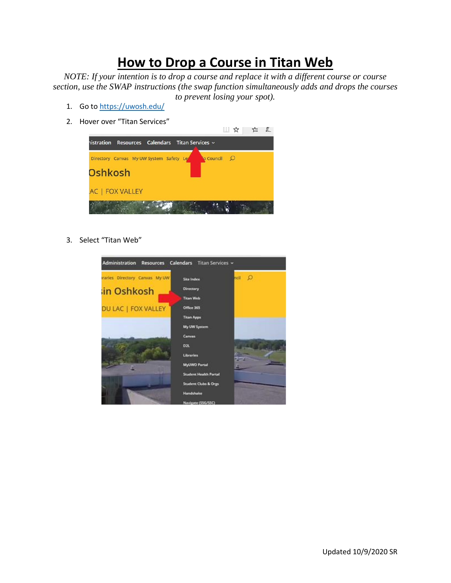## **How to Drop a Course in Titan Web**

*NOTE: If your intention is to drop a course and replace it with a different course or course section, use the SWAP instructions (the swap function simultaneously adds and drops the courses to prevent losing your spot).*

- 1. Go to<https://uwosh.edu/>
- 2. Hover over "Titan Services"



3. Select "Titan Web"

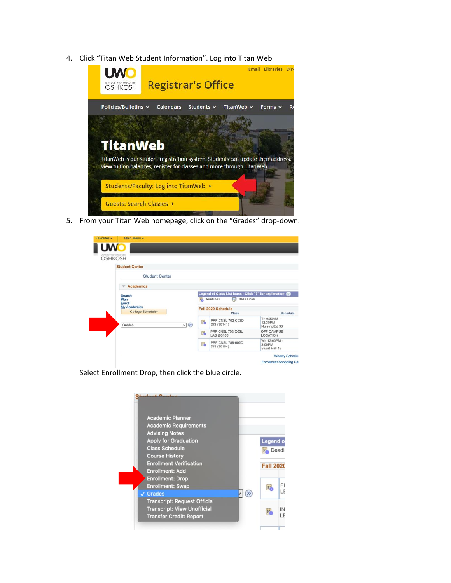4. Click "Titan Web Student Information". Log into Titan Web



5. From your Titan Web homepage, click on the "Grades" drop-down.

| <b>OSHKOSH</b>           |                                                                                                      |                                  |                                         |  |  |  |  |
|--------------------------|------------------------------------------------------------------------------------------------------|----------------------------------|-----------------------------------------|--|--|--|--|
| <b>Student Center</b>    |                                                                                                      |                                  |                                         |  |  |  |  |
| <b>Student Center</b>    |                                                                                                      |                                  |                                         |  |  |  |  |
| <b>Academics</b>         |                                                                                                      |                                  |                                         |  |  |  |  |
| Search<br>Plan<br>Enroll | Legend of Class List Icons - Click "?" for explanation (2)<br><b>Class Links</b><br><b>Deadlines</b> |                                  |                                         |  |  |  |  |
| <b>My Academics</b>      | Fall 2020 Schedule                                                                                   |                                  |                                         |  |  |  |  |
|                          |                                                                                                      | Class                            | Schedule                                |  |  |  |  |
| <b>College Scheduler</b> |                                                                                                      |                                  |                                         |  |  |  |  |
| $\vee$ $\circ$<br>Grades | 闯                                                                                                    | PRF CNSL 702-C03D<br>DIS (90141) | Th 9:30AM -<br>12:30PM<br>Nursing/Ed 38 |  |  |  |  |
|                          | E6                                                                                                   | PRF CNSL 702-C03L<br>LAB (93165) | OFF CAMPUS<br>LOCATION                  |  |  |  |  |

Select Enrollment Drop, then click the blue circle.